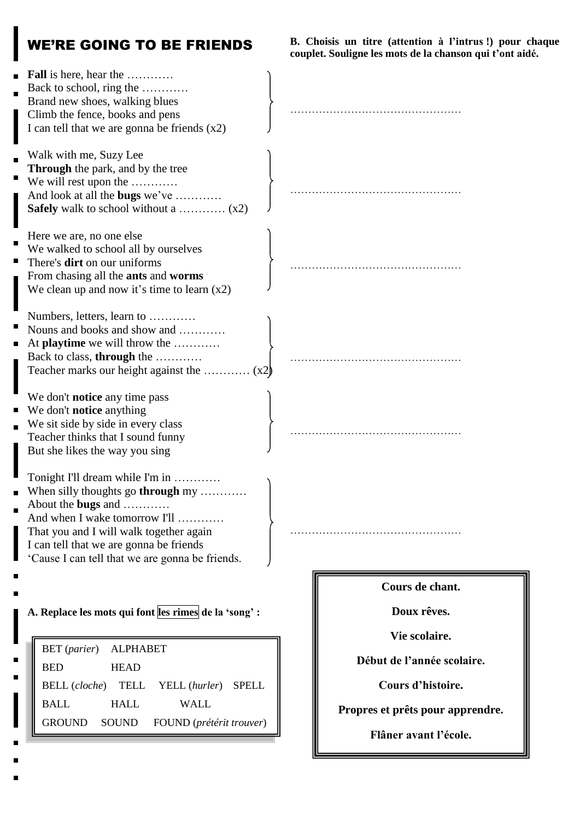## WE'RE GOING TO BE FRIENDS

**B. Choisis un titre (attention à l'intrus !) pour chaque couplet. Souligne les mots de la chanson qui t'ont aidé.**

| <b>Fall</b> is here, hear the<br>Back to school, ring the<br>Brand new shoes, walking blues<br>Climb the fence, books and pens<br>I can tell that we are gonna be friends $(x2)$<br>Walk with me, Suzy Lee<br>Through the park, and by the tree<br>We will rest upon the<br>And look at all the bugs we've<br><b>Safely</b> walk to school without a $(x2)$ |                                                                                                    |
|-------------------------------------------------------------------------------------------------------------------------------------------------------------------------------------------------------------------------------------------------------------------------------------------------------------------------------------------------------------|----------------------------------------------------------------------------------------------------|
| Here we are, no one else<br>We walked to school all by ourselves<br>There's <b>dirt</b> on our uniforms<br>From chasing all the ants and worms<br>We clean up and now it's time to learn $(x2)$                                                                                                                                                             |                                                                                                    |
| Numbers, letters, learn to<br>Nouns and books and show and<br>At <b>playtime</b> we will throw the<br>Back to class, through the                                                                                                                                                                                                                            |                                                                                                    |
| We don't <b>notice</b> any time pass<br>We don't <b>notice</b> anything<br>We sit side by side in every class<br>Teacher thinks that I sound funny<br>But she likes the way you sing                                                                                                                                                                        |                                                                                                    |
| Tonight I'll dream while I'm in<br>When silly thoughts go through my<br>About the bugs and<br>And when I wake tomorrow I'll<br>That you and I will walk together again<br>I can tell that we are gonna be friends<br>'Cause I can tell that we are gonna be friends.                                                                                        |                                                                                                    |
| A. Replace les mots qui font les rimes de la 'song' :<br><b>ALPHABET</b><br><b>BET</b> (parier)<br><b>BED</b><br><b>HEAD</b><br><b>BELL</b> (cloche)<br><b>TELL</b><br>YELL (hurler)<br><b>SPELL</b>                                                                                                                                                        | Cours de chant.<br>Doux rêves.<br>Vie scolaire.<br>Début de l'année scolaire.<br>Cours d'histoire. |
| <b>BALL</b><br><b>HALL</b><br><b>WALL</b><br><b>GROUND</b><br><b>SOUND</b><br>FOUND (prétérit trouver)                                                                                                                                                                                                                                                      | Propres et prêts pour apprendre.<br>Flâner avant l'école.                                          |